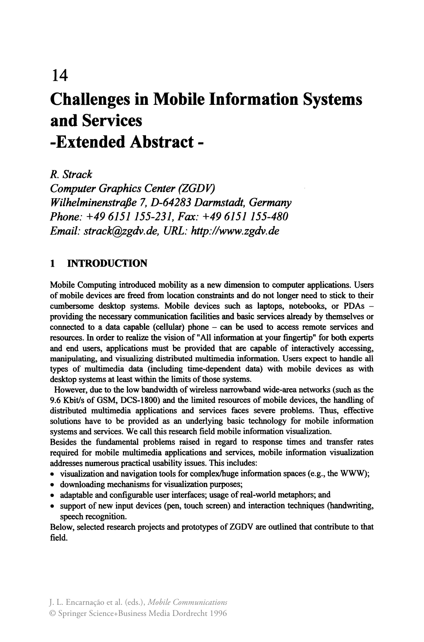# **14 Challenges in Mobile Information Systems and Services -Extended Abstract -**

*R. Strack Computer Graphics Center (ZGD V) Wilhelminenstraße 7, D-64283 Darmstadt, Germany Phone:* +496151155-231, *Fax:* +496151 *155-480 Email: strack@zgdv.de, URL: http://www.zgdv.de* 

## **1 INTRODUCTION**

Mobile Computing introduced mobility as a new dimension to computer applications. Users of mobile devices are freed from location constraints and do not longer need to stick to their cumbersome desktop systems. Mobile devices such as laptops, notebooks, or PDAs providing the necessary communication facilities and basic services already by themselves or connected to a data capable (cellular) phone - can be used to access remote services and resources. In order to realize the vision of "All information at your fingertip" for both experts and end users. applications must be provided that are capable of interactively accessing, manipulating, and visualizing distributed multimedia information. Users expect to handle all types of multimedia data (including time-dependent data) with mobile devices as with desktop systems at least within the limits of those systems.

However, due to the low bandwidth of wireless narrowband wide-area networks (such as the 9.6 Kbitls of GSM, DCS-1800) and the limited resources of mobile devices, the handling of distributed multimedia applications and services faces severe problems. Thus, effective solutions have to be provided as an underlying basic technology for mobile information systems and services. We call this research field mobile information visualization.

Besides the fundamental problems raised in regard to response times and transfer rates required for mobile multimedia applications and services, mobile information visualization addresses numerous practical usability issues. This includes:

- visualization and navigation tools for complex/huge information spaces (e.g., the WWW);
- downloading mechanisms for visualization purposes;
- adaptable and configurable user interfaces; usage of real-world metaphors; and
- support of new input devices (pen, touch screen) and interaction techniques (handwriting, speech recognition.

Below, selected research projects and prototypes of ZGDV are outlined that contribute to that field.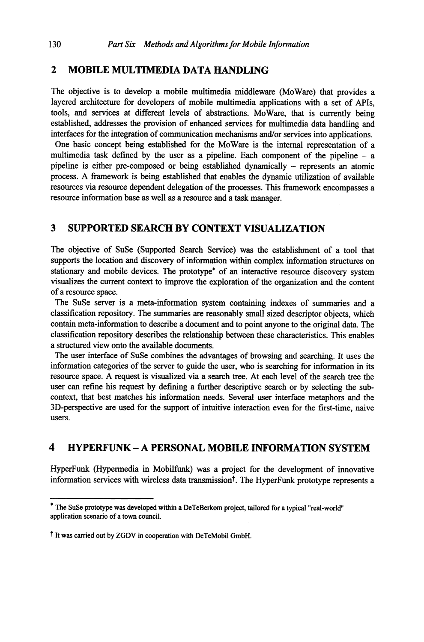#### 2 **MOBILE MULTIMEDIA DATA HANDLING**

The objective is to develop a mobile multimedia middleware (MoWare) that provides a layered architecture for developers of mobile multimedia applications with a set of APIs, tools, and services at different levels of abstractions. MoWare, that is currently being established, addresses the provision of enhanced services for multimedia data handling and interfaces for the integration of communication mechanisms and/or services into applications.

One basic concept being established for the MoWare is the internal representation of a multimedia task defined by the user as a pipeline. Each component of the pipeline - a pipeline is either pre-composed or being established dynamically - represents an atomic process. A framework is being established that enables the dynamic utilization of available resources via resource dependent delegation of the processes. This framework encompasses a resource information base as well as a resource and a task manager.

### 3 **SUPPORTED SEARCH BY CONTEXT VISUALIZATION**

The objective of SuSe (Supported Search Service) was the establishment of a tool that supports the location and discovery of information within complex information structures on stationary and mobile devices. The prototype' of an interactive resource discovery system visualizes the current context to improve the exploration of the organization and the content of a resource space.

The SuSe server is a meta-information system containing indexes of summaries and a classification repository. The summaries are reasonably small sized descriptor objects, which contain meta-information to describe a document and to point anyone to the original data. The classification repository describes the relationship between these characteristics. This enables a structured view onto the available documents.

The user interface of SuSe combines the advantages of browsing and searching. It uses the information categories of the server to guide the user, who is searching for information in its resource space. A request is visualized via a search tree. At each level of the search tree the user can refine his request by defining a further descriptive search or by selecting the subcontext, that best matches his information needs. Several user interface metaphors and the 3D-perspective are used for the support of intuitive interaction even for the first-time, naive users.

## **4 HYPERFUNK** - A **PERSONAL MOBILE INFORMATION SYSTEM**

HyperFunk (Hypermedia in Mobilfunk) was a project for the development of innovative information services with wireless data transmissiont. The HyperFunk prototype represents a

<sup>,</sup> The SuSe prototype was developed within a DeTeBerkom project, tailored for a typical "real-world" application scenario of a town council.

t It was carried out by ZGDV in cooperation with DeTeMobil GmbH.